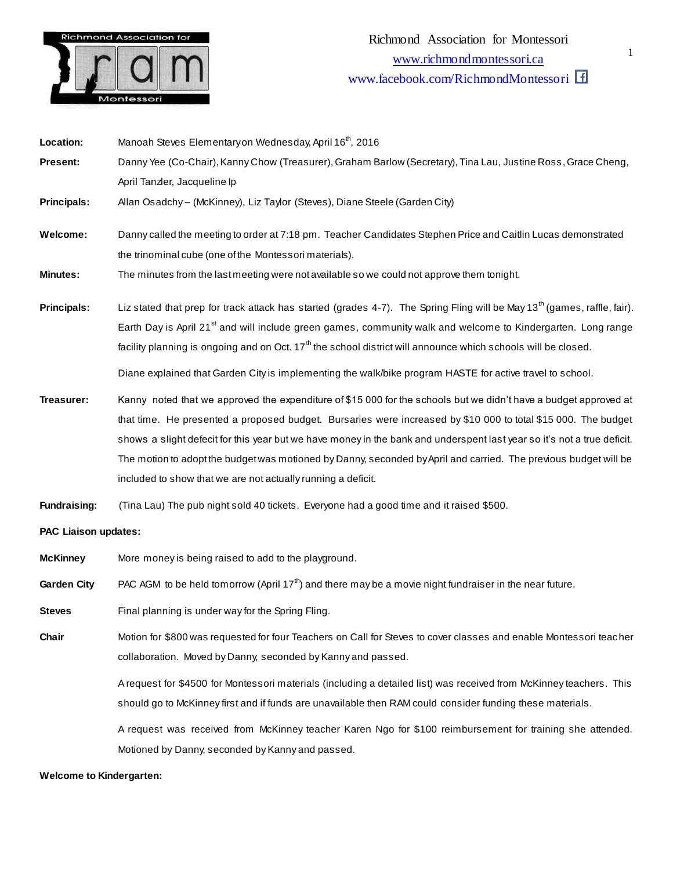

Location: Manoah Steves Elementary on Wednesday, April 16<sup>th</sup>, 2016 **Present:** Danny Yee (Co-Chair), Kanny Chow (Treasurer), Graham Barlow (Secretary), Tina Lau, Justine Ross, Grace Cheng, April Tanzler, Jacqueline Ip **Principals:** Allan Osadchy – (McKinney), Liz Taylor (Steves), Diane Steele (Garden City) **Welcome:** Danny called the meeting to order at 7:18 pm. Teacher Candidates Stephen Price and Caitlin Lucas demonstrated the trinominal cube (one of the Montessori materials). **Minutes:** The minutes from the lastmeeting were not available so we could not approve them tonight. Principals: Liz stated that prep for track attack has started (grades 4-7). The Spring Fling will be May 13<sup>th</sup> (games, raffle, fair). Earth Day is April 21<sup>st</sup> and will include green games, community walk and welcome to Kindergarten. Long range facility planning is ongoing and on Oct.  $17<sup>th</sup>$  the school district will announce which schools will be closed. Diane explained that Garden City is implementing the walk/bike program HASTE for active travel to school. **Treasurer:** Kanny noted that we approved the expenditure of \$15 000 for the schools but we didn't have a budget approved at that time. He presented a proposed budget. Bursaries were increased by \$10 000 to total \$15 000. The budget shows a slight defecit for this year but we have money in the bank and underspent last year so it's not a true deficit. The motion to adopt the budget was motioned by Danny, seconded by April and carried. The previous budget will be included to show that we are not actually running a deficit. **Fundraising:** (Tina Lau) The pub night sold 40 tickets. Everyone had a good time and it raised \$500. **PAC Liaison updates: McKinney** More money is being raised to add to the playground.

**Garden City** PAC AGM to be held tomorrow (April 17<sup>th</sup>) and there may be a movie night fundraiser in the near future.

**Steves** Final planning is under way for the Spring Fling.

**Chair** Motion for \$800 was requested for four Teachers on Call for Steves to cover classes and enable Montessori teacher collaboration. Moved by Danny, seconded by Kanny and passed.

> A request for \$4500 for Montessori materials (including a detailed list) was received from McKinney teachers. This should go to McKinney first and if funds are unavailable then RAM could consider funding these materials.

> A request was received from McKinney teacher Karen Ngo for \$100 reimbursement for training she attended. Motioned by Danny, seconded by Kanny and passed.

**Welcome to Kindergarten:**